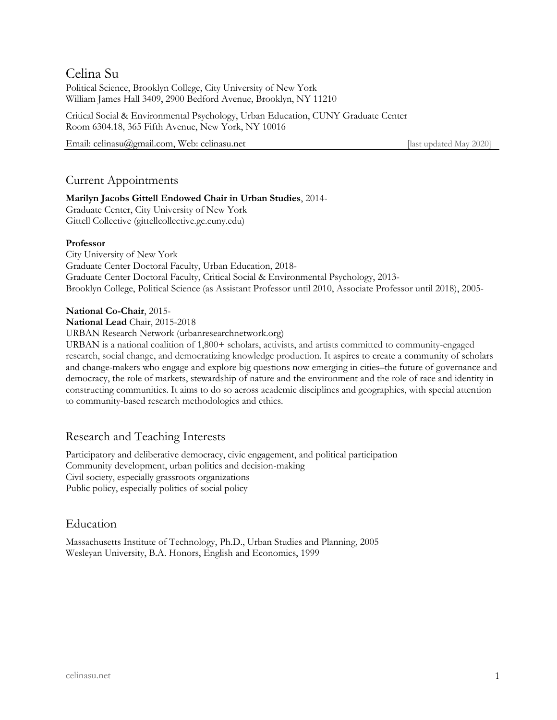# Celina Su

Political Science, Brooklyn College, City University of New York William James Hall 3409, 2900 Bedford Avenue, Brooklyn, NY 11210

Critical Social & Environmental Psychology, Urban Education, CUNY Graduate Center Room 6304.18, 365 Fifth Avenue, New York, NY 10016

Email: celinasu@gmail.com, Web: celinasu.net [last updated May 2020]

# Current Appointments

# **Marilyn Jacobs Gittell Endowed Chair in Urban Studies**, 2014-

Graduate Center, City University of New York Gittell Collective (gittellcollective.gc.cuny.edu)

# **Professor**

City University of New York Graduate Center Doctoral Faculty, Urban Education, 2018- Graduate Center Doctoral Faculty, Critical Social & Environmental Psychology, 2013- Brooklyn College, Political Science (as Assistant Professor until 2010, Associate Professor until 2018), 2005-

# **National Co-Chair**, 2015-

**National Lead** Chair, 2015-2018

URBAN Research Network (urbanresearchnetwork.org)

URBAN is a national coalition of 1,800+ scholars, activists, and artists committed to community-engaged research, social change, and democratizing knowledge production. It aspires to create a community of scholars and change-makers who engage and explore big questions now emerging in cities–the future of governance and democracy, the role of markets, stewardship of nature and the environment and the role of race and identity in constructing communities. It aims to do so across academic disciplines and geographies, with special attention to community-based research methodologies and ethics.

# Research and Teaching Interests

Participatory and deliberative democracy, civic engagement, and political participation Community development, urban politics and decision-making Civil society, especially grassroots organizations Public policy, especially politics of social policy

# Education

Massachusetts Institute of Technology, Ph.D., Urban Studies and Planning, 2005 Wesleyan University, B.A. Honors, English and Economics, 1999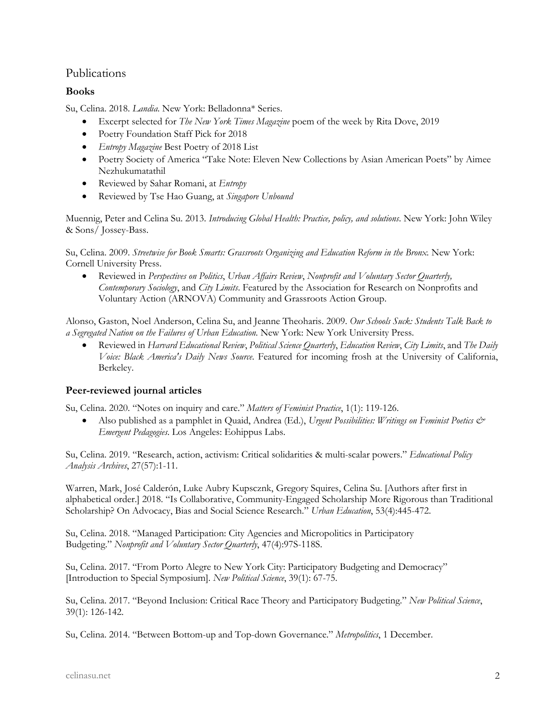# Publications

# **Books**

Su, Celina. 2018. *Landia*. New York: Belladonna\* Series.

- Excerpt selected for *The New York Times Magazine* poem of the week by Rita Dove, 2019
- Poetry Foundation Staff Pick for 2018
- *Entropy Magazine* Best Poetry of 2018 List
- Poetry Society of America "Take Note: Eleven New Collections by Asian American Poets" by Aimee Nezhukumatathil
- Reviewed by Sahar Romani, at *Entropy*
- Reviewed by Tse Hao Guang, at *Singapore Unbound*

Muennig, Peter and Celina Su. 2013. *Introducing Global Health: Practice, policy, and solutions*. New York: John Wiley & Sons/ Jossey-Bass.

Su, Celina. 2009. *Streetwise for Book Smarts: Grassroots Organizing and Education Reform in the Bronx*. New York: Cornell University Press.

• Reviewed in *Perspectives on Politics*, *Urban Affairs Review*, *Nonprofit and Voluntary Sector Quarterly, Contemporary Sociology*, and *City Limits*. Featured by the Association for Research on Nonprofits and Voluntary Action (ARNOVA) Community and Grassroots Action Group.

Alonso, Gaston, Noel Anderson, Celina Su, and Jeanne Theoharis. 2009. *Our Schools Suck: Students Talk Back to a Segregated Nation on the Failures of Urban Education.* New York: New York University Press.

• Reviewed in *Harvard Educational Review*, *Political Science Quarterly*, *Education Review*, *City Limits*, and *The Daily Voice: Black America's Daily News Source*. Featured for incoming frosh at the University of California, Berkeley.

# **Peer-reviewed journal articles**

Su, Celina. 2020. "Notes on inquiry and care." *Matters of Feminist Practice*, 1(1): 119-126.

• Also published as a pamphlet in Quaid, Andrea (Ed.), *Urgent Possibilities: Writings on Feminist Poetics & Emergent Pedagogies*. Los Angeles: Eohippus Labs.

Su, Celina. 2019. "Research, action, activism: Critical solidarities & multi-scalar powers." *Educational Policy Analysis Archives*, 27(57):1-11.

Warren, Mark, José Calderón, Luke Aubry Kupscznk, Gregory Squires, Celina Su. [Authors after first in alphabetical order.] 2018. "Is Collaborative, Community-Engaged Scholarship More Rigorous than Traditional Scholarship? On Advocacy, Bias and Social Science Research." *Urban Education*, 53(4):445-472.

Su, Celina. 2018. "Managed Participation: City Agencies and Micropolitics in Participatory Budgeting." *Nonprofit and Voluntary Sector Quarterly*, 47(4):97S-118S.

Su, Celina. 2017. "From Porto Alegre to New York City: Participatory Budgeting and Democracy" [Introduction to Special Symposium]. *New Political Science*, 39(1): 67-75.

Su, Celina. 2017. "Beyond Inclusion: Critical Race Theory and Participatory Budgeting." *New Political Science*, 39(1): 126-142.

Su, Celina. 2014. "Between Bottom-up and Top-down Governance." *Metropolitics*, 1 December.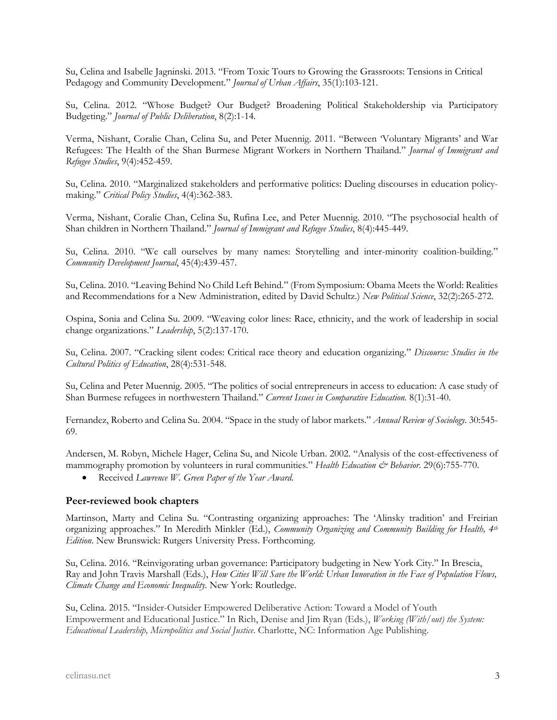Su, Celina and Isabelle Jagninski. 2013. "From Toxic Tours to Growing the Grassroots: Tensions in Critical Pedagogy and Community Development." *Journal of Urban Affairs*, 35(1):103-121.

Su, Celina. 2012. "Whose Budget? Our Budget? Broadening Political Stakeholdership via Participatory Budgeting." *Journal of Public Deliberation*, 8(2):1-14*.* 

Verma, Nishant, Coralie Chan, Celina Su, and Peter Muennig. 2011. "Between 'Voluntary Migrants' and War Refugees: The Health of the Shan Burmese Migrant Workers in Northern Thailand." *Journal of Immigrant and Refugee Studies*, 9(4):452-459.

Su, Celina. 2010. "Marginalized stakeholders and performative politics: Dueling discourses in education policymaking." *Critical Policy Studies*, 4(4):362-383.

Verma, Nishant, Coralie Chan, Celina Su, Rufina Lee, and Peter Muennig. 2010. "The psychosocial health of Shan children in Northern Thailand." *Journal of Immigrant and Refugee Studies*, 8(4):445-449.

Su, Celina. 2010. "We call ourselves by many names: Storytelling and inter-minority coalition-building." *Community Development Journal*, 45(4):439-457.

Su, Celina. 2010. "Leaving Behind No Child Left Behind." (From Symposium: Obama Meets the World: Realities and Recommendations for a New Administration, edited by David Schultz.) *New Political Science*, 32(2):265-272.

Ospina, Sonia and Celina Su. 2009. "Weaving color lines: Race, ethnicity, and the work of leadership in social change organizations." *Leadership*, 5(2):137-170.

Su, Celina. 2007. "Cracking silent codes: Critical race theory and education organizing." *Discourse: Studies in the Cultural Politics of Education*, 28(4):531-548.

Su, Celina and Peter Muennig. 2005. "The politics of social entrepreneurs in access to education: A case study of Shan Burmese refugees in northwestern Thailand." *Current Issues in Comparative Education.* 8(1):31-40.

Fernandez, Roberto and Celina Su. 2004. "Space in the study of labor markets." *Annual Review of Sociology.* 30:545- 69.

Andersen, M. Robyn, Michele Hager, Celina Su, and Nicole Urban. 2002. "Analysis of the cost-effectiveness of mammography promotion by volunteers in rural communities." *Health Education & Behavior*. 29(6):755-770.

• Received *Lawrence W. Green Paper of the Year Award*.

## **Peer-reviewed book chapters**

Martinson, Marty and Celina Su. "Contrasting organizing approaches: The 'Alinsky tradition' and Freirian organizing approaches." In Meredith Minkler (Ed.), *Community Organizing and Community Building for Health, 4th Edition*. New Brunswick: Rutgers University Press. Forthcoming.

Su, Celina. 2016. "Reinvigorating urban governance: Participatory budgeting in New York City." In Brescia, Ray and John Travis Marshall (Eds.), *How Cities Will Save the World: Urban Innovation in the Face of Population Flows, Climate Change and Economic Inequality.* New York: Routledge.

Su, Celina. 2015. "Insider-Outsider Empowered Deliberative Action: Toward a Model of Youth Empowerment and Educational Justice." In Rich, Denise and Jim Ryan (Eds.), *Working (With/out) the System: Educational Leadership, Micropolitics and Social Justice*. Charlotte, NC: Information Age Publishing.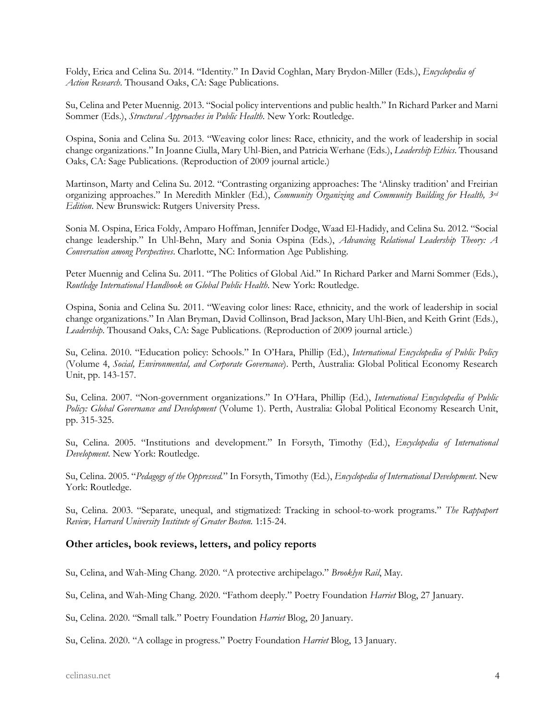Foldy, Erica and Celina Su. 2014. "Identity." In David Coghlan, Mary Brydon-Miller (Eds.), *Encyclopedia of Action Research*. Thousand Oaks, CA: Sage Publications.

Su, Celina and Peter Muennig. 2013. "Social policy interventions and public health." In Richard Parker and Marni Sommer (Eds.), *Structural Approaches in Public Health*. New York: Routledge.

Ospina, Sonia and Celina Su. 2013. "Weaving color lines: Race, ethnicity, and the work of leadership in social change organizations." In Joanne Ciulla, Mary Uhl-Bien, and Patricia Werhane (Eds.), *Leadership Ethics*. Thousand Oaks, CA: Sage Publications. (Reproduction of 2009 journal article.)

Martinson, Marty and Celina Su. 2012. "Contrasting organizing approaches: The 'Alinsky tradition' and Freirian organizing approaches." In Meredith Minkler (Ed.), *Community Organizing and Community Building for Health, 3rd Edition*. New Brunswick: Rutgers University Press.

Sonia M. Ospina, Erica Foldy, Amparo Hoffman, Jennifer Dodge, Waad El-Hadidy, and Celina Su. 2012. "Social change leadership." In Uhl-Behn, Mary and Sonia Ospina (Eds.), *Advancing Relational Leadership Theory: A Conversation among Perspectives*. Charlotte, NC: Information Age Publishing.

Peter Muennig and Celina Su. 2011. "The Politics of Global Aid." In Richard Parker and Marni Sommer (Eds.), *Routledge International Handbook on Global Public Health*. New York: Routledge.

Ospina, Sonia and Celina Su. 2011. "Weaving color lines: Race, ethnicity, and the work of leadership in social change organizations." In Alan Bryman, David Collinson, Brad Jackson, Mary Uhl-Bien, and Keith Grint (Eds.), *Leadership*. Thousand Oaks, CA: Sage Publications. (Reproduction of 2009 journal article.)

Su, Celina. 2010. "Education policy: Schools." In O'Hara, Phillip (Ed.), *International Encyclopedia of Public Policy* (Volume 4, *Social, Environmental, and Corporate Governance*). Perth, Australia: Global Political Economy Research Unit, pp. 143-157.

Su, Celina. 2007. "Non-government organizations." In O'Hara, Phillip (Ed.), *International Encyclopedia of Public Policy: Global Governance and Development* (Volume 1). Perth, Australia: Global Political Economy Research Unit, pp. 315-325.

Su, Celina. 2005. "Institutions and development." In Forsyth, Timothy (Ed.), *Encyclopedia of International Development*. New York: Routledge.

Su, Celina. 2005. "*Pedagogy of the Oppressed.*" In Forsyth, Timothy (Ed.), *Encyclopedia of International Development*. New York: Routledge.

Su, Celina. 2003. "Separate, unequal, and stigmatized: Tracking in school-to-work programs." *The Rappaport Review, Harvard University Institute of Greater Boston.* 1:15-24.

## **Other articles, book reviews, letters, and policy reports**

Su, Celina, and Wah-Ming Chang. 2020. "A protective archipelago." *Brooklyn Rail*, May.

Su, Celina, and Wah-Ming Chang. 2020. "Fathom deeply." Poetry Foundation *Harriet* Blog, 27 January.

Su, Celina. 2020. "Small talk." Poetry Foundation *Harriet* Blog, 20 January.

Su, Celina. 2020. "A collage in progress." Poetry Foundation *Harriet* Blog, 13 January.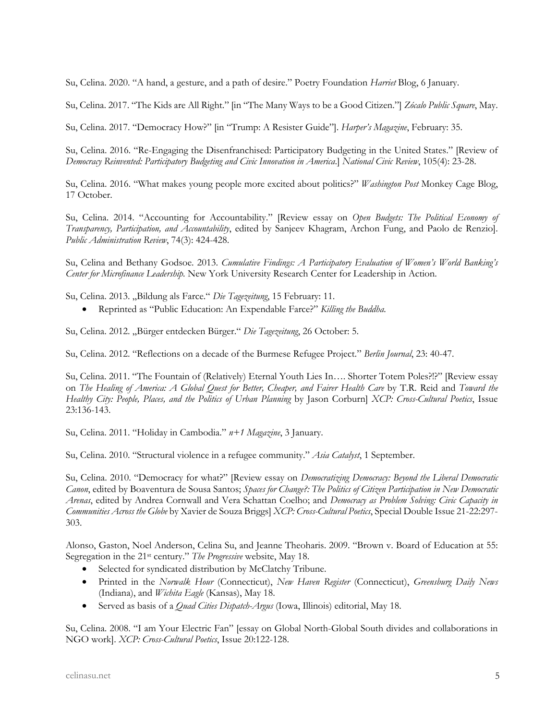Su, Celina. 2020. "A hand, a gesture, and a path of desire." Poetry Foundation *Harriet* Blog, 6 January.

Su, Celina. 2017. "The Kids are All Right." [in "The Many Ways to be a Good Citizen."] *Zócalo Public Square*, May.

Su, Celina. 2017. "Democracy How?" [in "Trump: A Resister Guide"]. *Harper's Magazine*, February: 35.

Su, Celina. 2016. "Re-Engaging the Disenfranchised: Participatory Budgeting in the United States." [Review of *Democracy Reinvented: Participatory Budgeting and Civic Innovation in America*.] *National Civic Review*, 105(4): 23-28.

Su, Celina. 2016. "What makes young people more excited about politics?" *Washington Post* Monkey Cage Blog, 17 October.

Su, Celina. 2014. "Accounting for Accountability." [Review essay on *Open Budgets: The Political Economy of Transparency, Participation, and Accountability*, edited by Sanjeev Khagram, Archon Fung, and Paolo de Renzio]. *Public Administration Review*, 74(3): 424-428.

Su, Celina and Bethany Godsoe. 2013. *Cumulative Findings: A Participatory Evaluation of Women's World Banking's Center for Microfinance Leadership.* New York University Research Center for Leadership in Action.

Su, Celina. 2013. "Bildung als Farce." *Die Tagezeitung*, 15 February: 11.

• Reprinted as "Public Education: An Expendable Farce?" *Killing the Buddha.*

Su, Celina. 2012. "Bürger entdecken Bürger." *Die Tagezeitung*, 26 October: 5.

Su, Celina. 2012. "Reflections on a decade of the Burmese Refugee Project." *Berlin Journal*, 23: 40-47.

Su, Celina. 2011. "The Fountain of (Relatively) Eternal Youth Lies In…. Shorter Totem Poles?!?" [Review essay on *The Healing of America: A Global Quest for Better, Cheaper, and Fairer Health Care* by T.R. Reid and *Toward the Healthy City: People, Places, and the Politics of Urban Planning* by Jason Corburn] *XCP: Cross-Cultural Poetics*, Issue 23:136-143.

Su, Celina. 2011. "Holiday in Cambodia." *n+1 Magazine*, 3 January.

Su, Celina. 2010. "Structural violence in a refugee community." *Asia Catalyst*, 1 September.

Su, Celina. 2010. "Democracy for what?" [Review essay on *Democratizing Democracy: Beyond the Liberal Democratic Canon*, edited by Boaventura de Sousa Santos; *Spaces for Change?: The Politics of Citizen Participation in New Democratic Arenas*, edited by Andrea Cornwall and Vera Schattan Coelho; and *Democracy as Problem Solving: Civic Capacity in Communities Across the Globe* by Xavier de Souza Briggs] *XCP: Cross-Cultural Poetics*, Special Double Issue 21-22:297- 303.

Alonso, Gaston, Noel Anderson, Celina Su, and Jeanne Theoharis. 2009. "Brown v. Board of Education at 55: Segregation in the 21st century." *The Progressive* website, May 18.

- Selected for syndicated distribution by McClatchy Tribune.
- Printed in the *Norwalk Hour* (Connecticut), *New Haven Register* (Connecticut), *Greensburg Daily News* (Indiana), and *Wichita Eagle* (Kansas), May 18.
- Served as basis of a *Quad Cities Dispatch-Argus* (Iowa, Illinois) editorial, May 18.

Su, Celina. 2008. "I am Your Electric Fan" [essay on Global North-Global South divides and collaborations in NGO work]. *XCP: Cross-Cultural Poetics*, Issue 20:122-128.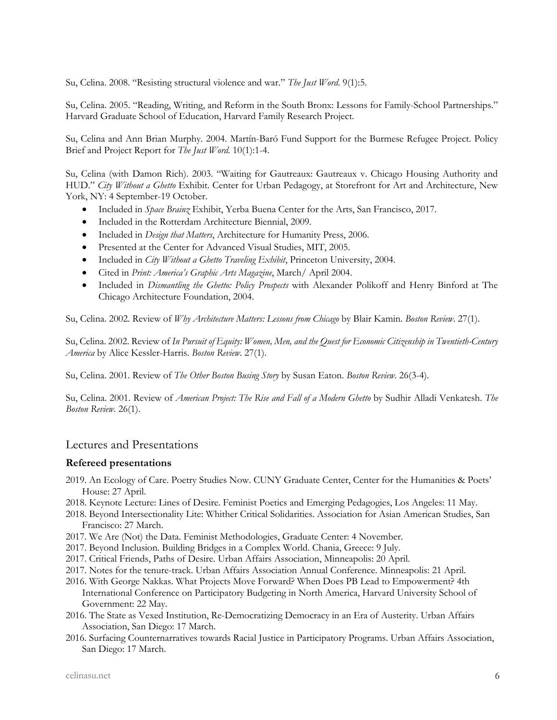Su, Celina. 2008. "Resisting structural violence and war." *The Just Word*. 9(1):5.

Su, Celina. 2005. "Reading, Writing, and Reform in the South Bronx: Lessons for Family-School Partnerships." Harvard Graduate School of Education, Harvard Family Research Project.

Su, Celina and Ann Brian Murphy. 2004. Martín-Baró Fund Support for the Burmese Refugee Project. Policy Brief and Project Report for *The Just Word.* 10(1):1-4.

Su, Celina (with Damon Rich). 2003. "Waiting for Gautreaux: Gautreaux v. Chicago Housing Authority and HUD." *City Without a Ghetto* Exhibit. Center for Urban Pedagogy, at Storefront for Art and Architecture, New York, NY: 4 September-19 October.

- Included in *Space Brainz* Exhibit, Yerba Buena Center for the Arts, San Francisco, 2017.
- Included in the Rotterdam Architecture Biennial, 2009.
- Included in *Design that Matters*, Architecture for Humanity Press, 2006.
- Presented at the Center for Advanced Visual Studies, MIT, 2005.
- Included in *City Without a Ghetto Traveling Exhibit*, Princeton University, 2004.
- Cited in *Print: America's Graphic Arts Magazine*, March/ April 2004.
- Included in *Dismantling the Ghetto: Policy Prospects* with Alexander Polikoff and Henry Binford at The Chicago Architecture Foundation, 2004.

Su, Celina. 2002. Review of *Why Architecture Matters: Lessons from Chicago* by Blair Kamin. *Boston Review*. 27(1).

Su, Celina. 2002. Review of *In Pursuit of Equity: Women, Men, and the Quest for Economic Citizenship in Twentieth-Century America* by Alice Kessler-Harris. *Boston Review*. 27(1).

Su, Celina. 2001. Review of *The Other Boston Busing Story* by Susan Eaton. *Boston Review*. 26(3-4).

Su, Celina. 2001. Review of *American Project: The Rise and Fall of a Modern Ghetto* by Sudhir Alladi Venkatesh. *The Boston Review.* 26(1).

# Lectures and Presentations

#### **Refereed presentations**

- 2019. An Ecology of Care. Poetry Studies Now. CUNY Graduate Center, Center for the Humanities & Poets' House: 27 April.
- 2018. Keynote Lecture: Lines of Desire. Feminist Poetics and Emerging Pedagogies, Los Angeles: 11 May.
- 2018. Beyond Intersectionality Lite: Whither Critical Solidarities. Association for Asian American Studies, San Francisco: 27 March.
- 2017. We Are (Not) the Data. Feminist Methodologies, Graduate Center: 4 November.
- 2017. Beyond Inclusion. Building Bridges in a Complex World. Chania, Greece: 9 July.
- 2017. Critical Friends, Paths of Desire. Urban Affairs Association, Minneapolis: 20 April.
- 2017. Notes for the tenure-track. Urban Affairs Association Annual Conference. Minneapolis: 21 April.
- 2016. With George Nakkas. What Projects Move Forward? When Does PB Lead to Empowerment? 4th International Conference on Participatory Budgeting in North America, Harvard University School of Government: 22 May.
- 2016. The State as Vexed Institution, Re-Democratizing Democracy in an Era of Austerity. Urban Affairs Association, San Diego: 17 March.
- 2016. Surfacing Counternarratives towards Racial Justice in Participatory Programs. Urban Affairs Association, San Diego: 17 March.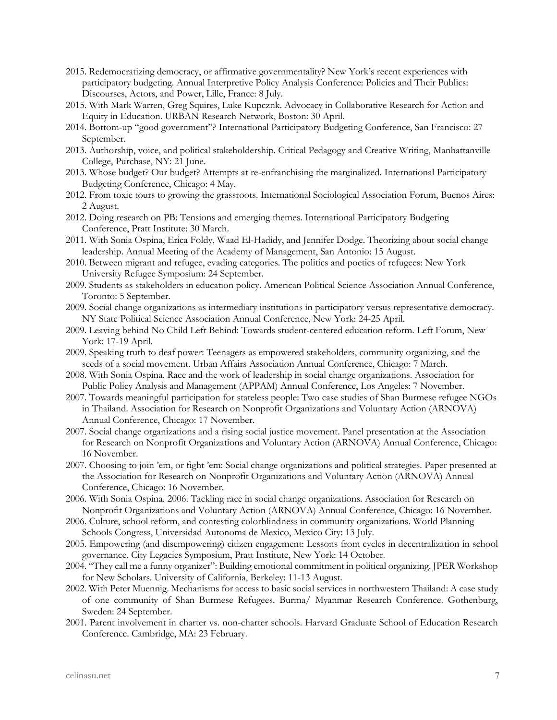- 2015. Redemocratizing democracy, or affirmative governmentality? New York's recent experiences with participatory budgeting. Annual Interpretive Policy Analysis Conference: Policies and Their Publics: Discourses, Actors, and Power, Lille, France: 8 July.
- 2015. With Mark Warren, Greg Squires, Luke Kupcznk. Advocacy in Collaborative Research for Action and Equity in Education. URBAN Research Network, Boston: 30 April.
- 2014. Bottom-up "good government"? International Participatory Budgeting Conference, San Francisco: 27 September.
- 2013. Authorship, voice, and political stakeholdership. Critical Pedagogy and Creative Writing, Manhattanville College, Purchase, NY: 21 June.
- 2013. Whose budget? Our budget? Attempts at re-enfranchising the marginalized. International Participatory Budgeting Conference, Chicago: 4 May.
- 2012. From toxic tours to growing the grassroots. International Sociological Association Forum, Buenos Aires: 2 August.
- 2012. Doing research on PB: Tensions and emerging themes. International Participatory Budgeting Conference, Pratt Institute: 30 March.
- 2011. With Sonia Ospina, Erica Foldy, Waad El-Hadidy, and Jennifer Dodge. Theorizing about social change leadership. Annual Meeting of the Academy of Management, San Antonio: 15 August.
- 2010. Between migrant and refugee, evading categories. The politics and poetics of refugees: New York University Refugee Symposium: 24 September.
- 2009. Students as stakeholders in education policy. American Political Science Association Annual Conference, Toronto: 5 September.
- 2009. Social change organizations as intermediary institutions in participatory versus representative democracy. NY State Political Science Association Annual Conference, New York: 24-25 April.
- 2009. Leaving behind No Child Left Behind: Towards student-centered education reform. Left Forum, New York: 17-19 April.
- 2009. Speaking truth to deaf power: Teenagers as empowered stakeholders, community organizing, and the seeds of a social movement. Urban Affairs Association Annual Conference, Chicago: 7 March.
- 2008. With Sonia Ospina. Race and the work of leadership in social change organizations. Association for Public Policy Analysis and Management (APPAM) Annual Conference, Los Angeles: 7 November.
- 2007. Towards meaningful participation for stateless people: Two case studies of Shan Burmese refugee NGOs in Thailand. Association for Research on Nonprofit Organizations and Voluntary Action (ARNOVA) Annual Conference, Chicago: 17 November.
- 2007. Social change organizations and a rising social justice movement. Panel presentation at the Association for Research on Nonprofit Organizations and Voluntary Action (ARNOVA) Annual Conference, Chicago: 16 November.
- 2007. Choosing to join 'em, or fight 'em: Social change organizations and political strategies. Paper presented at the Association for Research on Nonprofit Organizations and Voluntary Action (ARNOVA) Annual Conference, Chicago: 16 November.
- 2006. With Sonia Ospina. 2006. Tackling race in social change organizations. Association for Research on Nonprofit Organizations and Voluntary Action (ARNOVA) Annual Conference, Chicago: 16 November.
- 2006. Culture, school reform, and contesting colorblindness in community organizations. World Planning Schools Congress, Universidad Autonoma de Mexico, Mexico City: 13 July.
- 2005. Empowering (and disempowering) citizen engagement: Lessons from cycles in decentralization in school governance. City Legacies Symposium, Pratt Institute, New York: 14 October.
- 2004. "They call me a funny organizer": Building emotional commitment in political organizing. JPER Workshop for New Scholars. University of California, Berkeley: 11-13 August.
- 2002. With Peter Muennig. Mechanisms for access to basic social services in northwestern Thailand: A case study of one community of Shan Burmese Refugees. Burma/ Myanmar Research Conference. Gothenburg, Sweden: 24 September.
- 2001. Parent involvement in charter vs. non-charter schools. Harvard Graduate School of Education Research Conference. Cambridge, MA: 23 February.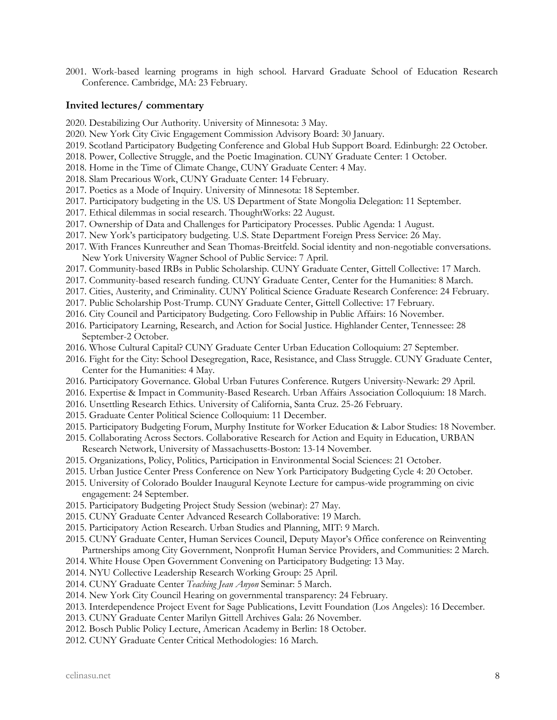2001. Work-based learning programs in high school. Harvard Graduate School of Education Research Conference. Cambridge, MA: 23 February.

#### **Invited lectures/ commentary**

- 2020. Destabilizing Our Authority. University of Minnesota: 3 May.
- 2020. New York City Civic Engagement Commission Advisory Board: 30 January.
- 2019. Scotland Participatory Budgeting Conference and Global Hub Support Board. Edinburgh: 22 October.
- 2018. Power, Collective Struggle, and the Poetic Imagination. CUNY Graduate Center: 1 October.
- 2018. Home in the Time of Climate Change, CUNY Graduate Center: 4 May.
- 2018. Slam Precarious Work, CUNY Graduate Center: 14 February.
- 2017. Poetics as a Mode of Inquiry. University of Minnesota: 18 September.
- 2017. Participatory budgeting in the US. US Department of State Mongolia Delegation: 11 September.
- 2017. Ethical dilemmas in social research. ThoughtWorks: 22 August.
- 2017. Ownership of Data and Challenges for Participatory Processes. Public Agenda: 1 August.
- 2017. New York's participatory budgeting. U.S. State Department Foreign Press Service: 26 May.
- 2017. With Frances Kunreuther and Sean Thomas-Breitfeld. Social identity and non-negotiable conversations. New York University Wagner School of Public Service: 7 April.
- 2017. Community-based IRBs in Public Scholarship. CUNY Graduate Center, Gittell Collective: 17 March.
- 2017. Community-based research funding. CUNY Graduate Center, Center for the Humanities: 8 March.
- 2017. Cities, Austerity, and Criminality. CUNY Political Science Graduate Research Conference: 24 February.
- 2017. Public Scholarship Post-Trump. CUNY Graduate Center, Gittell Collective: 17 February.
- 2016. City Council and Participatory Budgeting. Coro Fellowship in Public Affairs: 16 November.
- 2016. Participatory Learning, Research, and Action for Social Justice. Highlander Center, Tennessee: 28 September-2 October.
- 2016. Whose Cultural Capital? CUNY Graduate Center Urban Education Colloquium: 27 September.
- 2016. Fight for the City: School Desegregation, Race, Resistance, and Class Struggle. CUNY Graduate Center, Center for the Humanities: 4 May.
- 2016. Participatory Governance. Global Urban Futures Conference. Rutgers University-Newark: 29 April.
- 2016. Expertise & Impact in Community-Based Research. Urban Affairs Association Colloquium: 18 March.
- 2016. Unsettling Research Ethics. University of California, Santa Cruz. 25-26 February.
- 2015. Graduate Center Political Science Colloquium: 11 December.
- 2015. Participatory Budgeting Forum, Murphy Institute for Worker Education & Labor Studies: 18 November.
- 2015. Collaborating Across Sectors. Collaborative Research for Action and Equity in Education, URBAN Research Network, University of Massachusetts-Boston: 13-14 November.
- 2015. Organizations, Policy, Politics, Participation in Environmental Social Sciences: 21 October.
- 2015. Urban Justice Center Press Conference on New York Participatory Budgeting Cycle 4: 20 October.
- 2015. University of Colorado Boulder Inaugural Keynote Lecture for campus-wide programming on civic engagement: 24 September.
- 2015. Participatory Budgeting Project Study Session (webinar): 27 May.
- 2015. CUNY Graduate Center Advanced Research Collaborative: 19 March.
- 2015. Participatory Action Research. Urban Studies and Planning, MIT: 9 March.
- 2015. CUNY Graduate Center, Human Services Council, Deputy Mayor's Office conference on Reinventing Partnerships among City Government, Nonprofit Human Service Providers, and Communities: 2 March.
- 2014. White House Open Government Convening on Participatory Budgeting: 13 May.
- 2014. NYU Collective Leadership Research Working Group: 25 April.
- 2014. CUNY Graduate Center *Teaching Jean Anyon* Seminar: 5 March.
- 2014. New York City Council Hearing on governmental transparency: 24 February.
- 2013. Interdependence Project Event for Sage Publications, Levitt Foundation (Los Angeles): 16 December.
- 2013. CUNY Graduate Center Marilyn Gittell Archives Gala: 26 November.
- 2012. Bosch Public Policy Lecture, American Academy in Berlin: 18 October.
- 2012. CUNY Graduate Center Critical Methodologies: 16 March.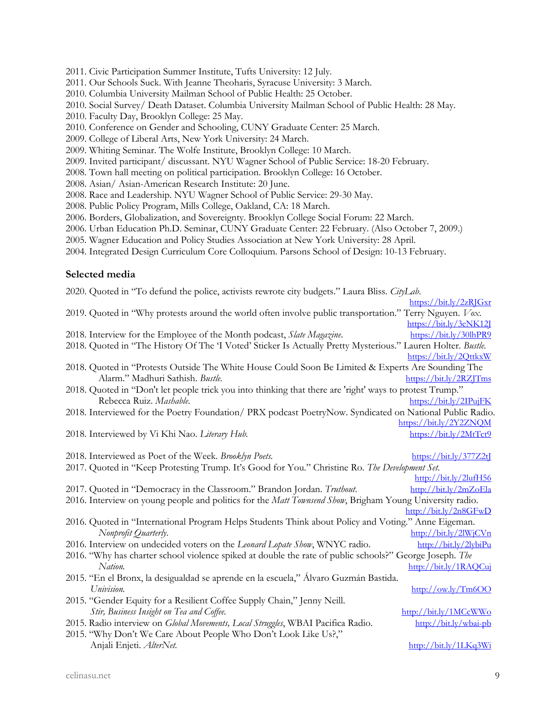- 2011. Civic Participation Summer Institute, Tufts University: 12 July.
- 2011. Our Schools Suck. With Jeanne Theoharis, Syracuse University: 3 March.
- 2010. Columbia University Mailman School of Public Health: 25 October.
- 2010. Social Survey/ Death Dataset. Columbia University Mailman School of Public Health: 28 May.
- 2010. Faculty Day, Brooklyn College: 25 May.
- 2010. Conference on Gender and Schooling, CUNY Graduate Center: 25 March.
- 2009. College of Liberal Arts, New York University: 24 March.
- 2009. Whiting Seminar. The Wolfe Institute, Brooklyn College: 10 March.
- 2009. Invited participant/ discussant. NYU Wagner School of Public Service: 18-20 February.
- 2008. Town hall meeting on political participation. Brooklyn College: 16 October.
- 2008. Asian/ Asian-American Research Institute: 20 June.
- 2008. Race and Leadership. NYU Wagner School of Public Service: 29-30 May.
- 2008. Public Policy Program, Mills College, Oakland, CA: 18 March.
- 2006. Borders, Globalization, and Sovereignty. Brooklyn College Social Forum: 22 March.
- 2006. Urban Education Ph.D. Seminar, CUNY Graduate Center: 22 February. (Also October 7, 2009.)
- 2005. Wagner Education and Policy Studies Association at New York University: 28 April.
- 2004. Integrated Design Curriculum Core Colloquium. Parsons School of Design: 10-13 February.

#### **Selected media**

| 2020. Quoted in "To defund the police, activists rewrote city budgets." Laura Bliss. CityLab.                    |                                                 |
|------------------------------------------------------------------------------------------------------------------|-------------------------------------------------|
|                                                                                                                  | https://bit.ly/2zRJGxr                          |
| 2019. Quoted in "Why protests around the world often involve public transportation." Terry Nguyen. Vox.          |                                                 |
|                                                                                                                  | https://bit.ly/3eNK12J                          |
| 2018. Interview for the Employee of the Month podcast, Slate Magazine.                                           | https://bit.ly/30lhPR9                          |
| 2018. Quoted in "The History Of The 'I Voted' Sticker Is Actually Pretty Mysterious." Lauren Holter. Bustle.     |                                                 |
|                                                                                                                  | https://bit.ly/2QttkxW                          |
| 2018. Quoted in "Protests Outside The White House Could Soon Be Limited & Experts Are Sounding The               |                                                 |
| Alarm." Madhuri Sathish. Bustle.                                                                                 | https://bit.ly/2RZJTms                          |
| 2018. Quoted in "Don't let people trick you into thinking that there are 'right' ways to protest Trump."         |                                                 |
| Rebecca Ruiz. Mashable.                                                                                          | https://bit.ly/2IPujFK                          |
| 2018. Interviewed for the Poetry Foundation/ PRX podcast PoetryNow. Syndicated on National Public Radio.         |                                                 |
|                                                                                                                  | https://bit.ly/2Y2ZNQM                          |
| 2018. Interviewed by Vi Khi Nao. Literary Hub.                                                                   | https://bit.ly/2MtTct9                          |
|                                                                                                                  |                                                 |
| 2018. Interviewed as Poet of the Week. Brooklyn Poets.                                                           | $\frac{\text{https://bit.ly/377Z2t}}{}$         |
| 2017. Quoted in "Keep Protesting Trump. It's Good for You." Christine Ro. The Development Set.                   |                                                 |
|                                                                                                                  | http://bit.ly/2lufH56                           |
| 2017. Quoted in "Democracy in the Classroom." Brandon Jordan. Truthout.                                          | http://bit.ly/2mZoEla                           |
| 2016. Interview on young people and politics for the <i>Matt Townsend Show</i> , Brigham Young University radio. |                                                 |
|                                                                                                                  | http://bit.ly/2n8GFwD                           |
| 2016. Quoted in "International Program Helps Students Think about Policy and Voting." Anne Eigeman.              |                                                 |
| Nonprofit Quarterly.                                                                                             | http://bit.ly/2lWjCVn                           |
| 2016. Interview on undecided voters on the Leonard Lopate Show, WNYC radio.                                      | http://bit.ly/2lybiPu                           |
| 2016. "Why has charter school violence spiked at double the rate of public schools?" George Joseph. The          |                                                 |
| Nation.                                                                                                          | http://bit.ly/1RAQCuj                           |
| 2015. "En el Bronx, la desigualdad se aprende en la escuela," Álvaro Guzmán Bastida.                             |                                                 |
| Univision.                                                                                                       | $\frac{http://ow.ly/Im6OO}{http://ow.ly/Im6OO}$ |
| 2015. "Gender Equity for a Resilient Coffee Supply Chain," Jenny Neill.                                          |                                                 |
| Stir, Business Insight on Tea and Coffee.                                                                        | http://bit.ly/1MCcWWo                           |
| 2015. Radio interview on Global Movements, Local Struggles, WBAI Pacifica Radio.                                 | http://bit.ly/wbai-pb                           |
| 2015. "Why Don't We Care About People Who Don't Look Like Us?,"                                                  |                                                 |
| Anjali Enjeti. AlterNet.                                                                                         | http://bit.ly/1LKq3Wi                           |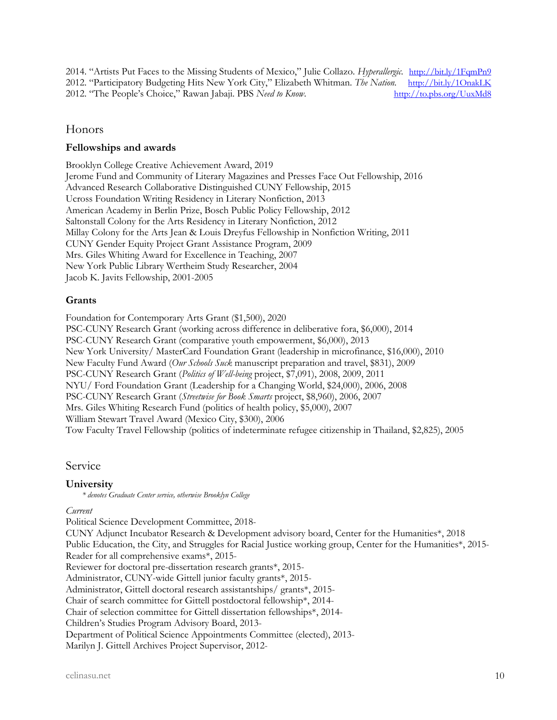2014. "Artists Put Faces to the Missing Students of Mexico," Julie Collazo. *Hyperallergic.* http://bit.ly/1FqmPn9<br>2012. "Participatory Budgeting Hits New York City," Elizabeth Whitman. The Nation. http://bit.ly/1OnakLK 2012. "Participatory Budgeting Hits New York City," Elizabeth Whitman. *The Nation*. 2012. "The People's Choice," Rawan Jabaji. PBS *Need to Know*. http://to.pbs.org/UuxMd8

# Honors

## **Fellowships and awards**

Brooklyn College Creative Achievement Award, 2019 Jerome Fund and Community of Literary Magazines and Presses Face Out Fellowship, 2016 Advanced Research Collaborative Distinguished CUNY Fellowship, 2015 Ucross Foundation Writing Residency in Literary Nonfiction, 2013 American Academy in Berlin Prize, Bosch Public Policy Fellowship, 2012 Saltonstall Colony for the Arts Residency in Literary Nonfiction, 2012 Millay Colony for the Arts Jean & Louis Dreyfus Fellowship in Nonfiction Writing, 2011 CUNY Gender Equity Project Grant Assistance Program, 2009 Mrs. Giles Whiting Award for Excellence in Teaching, 2007 New York Public Library Wertheim Study Researcher, 2004 Jacob K. Javits Fellowship, 2001-2005

# **Grants**

Foundation for Contemporary Arts Grant (\$1,500), 2020 PSC-CUNY Research Grant (working across difference in deliberative fora, \$6,000), 2014 PSC-CUNY Research Grant (comparative youth empowerment, \$6,000), 2013

New York University/ MasterCard Foundation Grant (leadership in microfinance, \$16,000), 2010 New Faculty Fund Award (*Our Schools Suck* manuscript preparation and travel, \$831), 2009 PSC-CUNY Research Grant (*Politics of Well-being* project, \$7,091), 2008, 2009, 2011 NYU/ Ford Foundation Grant (Leadership for a Changing World, \$24,000), 2006, 2008 PSC-CUNY Research Grant (*Streetwise for Book Smarts* project, \$8,960), 2006, 2007 Mrs. Giles Whiting Research Fund (politics of health policy, \$5,000), 2007 William Stewart Travel Award (Mexico City, \$300), 2006 Tow Faculty Travel Fellowship (politics of indeterminate refugee citizenship in Thailand, \$2,825), 2005

# Service

## **University**

*\* denotes Graduate Center service, otherwise Brooklyn College*

#### *Current*

Political Science Development Committee, 2018-

CUNY Adjunct Incubator Research & Development advisory board, Center for the Humanities\*, 2018 Public Education, the City, and Struggles for Racial Justice working group, Center for the Humanities\*, 2015- Reader for all comprehensive exams\*, 2015- Reviewer for doctoral pre-dissertation research grants\*, 2015- Administrator, CUNY-wide Gittell junior faculty grants\*, 2015- Administrator, Gittell doctoral research assistantships/ grants\*, 2015- Chair of search committee for Gittell postdoctoral fellowship\*, 2014- Chair of selection committee for Gittell dissertation fellowships\*, 2014- Children's Studies Program Advisory Board, 2013- Department of Political Science Appointments Committee (elected), 2013- Marilyn J. Gittell Archives Project Supervisor, 2012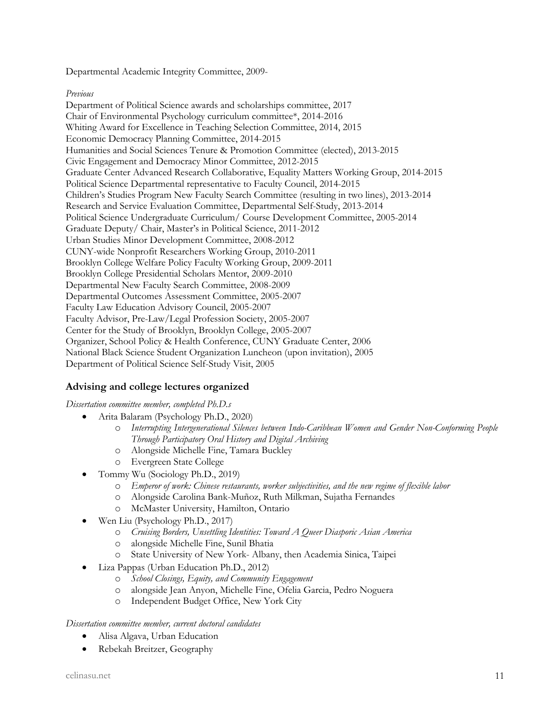Departmental Academic Integrity Committee, 2009-

#### *Previous*

Department of Political Science awards and scholarships committee, 2017 Chair of Environmental Psychology curriculum committee\*, 2014-2016 Whiting Award for Excellence in Teaching Selection Committee, 2014, 2015 Economic Democracy Planning Committee, 2014-2015 Humanities and Social Sciences Tenure & Promotion Committee (elected), 2013-2015 Civic Engagement and Democracy Minor Committee, 2012-2015 Graduate Center Advanced Research Collaborative, Equality Matters Working Group, 2014-2015 Political Science Departmental representative to Faculty Council, 2014-2015 Children's Studies Program New Faculty Search Committee (resulting in two lines), 2013-2014 Research and Service Evaluation Committee, Departmental Self-Study, 2013-2014 Political Science Undergraduate Curriculum/ Course Development Committee, 2005-2014 Graduate Deputy/ Chair, Master's in Political Science, 2011-2012 Urban Studies Minor Development Committee, 2008-2012 CUNY-wide Nonprofit Researchers Working Group, 2010-2011 Brooklyn College Welfare Policy Faculty Working Group, 2009-2011 Brooklyn College Presidential Scholars Mentor, 2009-2010 Departmental New Faculty Search Committee, 2008-2009 Departmental Outcomes Assessment Committee, 2005-2007 Faculty Law Education Advisory Council, 2005-2007 Faculty Advisor, Pre-Law/Legal Profession Society, 2005-2007 Center for the Study of Brooklyn, Brooklyn College, 2005-2007 Organizer, School Policy & Health Conference, CUNY Graduate Center, 2006 National Black Science Student Organization Luncheon (upon invitation), 2005 Department of Political Science Self-Study Visit, 2005

# **Advising and college lectures organized**

## *Dissertation committee member, completed Ph.D.s*

- Arita Balaram (Psychology Ph.D., 2020)
	- o *Interrupting Intergenerational Silences between Indo-Caribbean Women and Gender Non-Conforming People Through Participatory Oral History and Digital Archiving*
	- o Alongside Michelle Fine, Tamara Buckley
	- o Evergreen State College
	- Tommy Wu (Sociology Ph.D., 2019)
		- o *Emperor of work: Chinese restaurants, worker subjectivities, and the new regime of flexible labor*
		- o Alongside Carolina Bank-Muñoz, Ruth Milkman, Sujatha Fernandes
		- o McMaster University, Hamilton, Ontario
	- Wen Liu (Psychology Ph.D., 2017)
		- o *Cruising Borders, Unsettling Identities: Toward A Queer Diasporic Asian America*
		- o alongside Michelle Fine, Sunil Bhatia
		- o State University of New York- Albany, then Academia Sinica, Taipei
	- Liza Pappas (Urban Education Ph.D., 2012)
		- o *School Closings, Equity, and Community Engagement*
		- o alongside Jean Anyon, Michelle Fine, Ofelia Garcia, Pedro Noguera
		- o Independent Budget Office, New York City

#### *Dissertation committee member, current doctoral candidates*

- Alisa Algava, Urban Education
- Rebekah Breitzer, Geography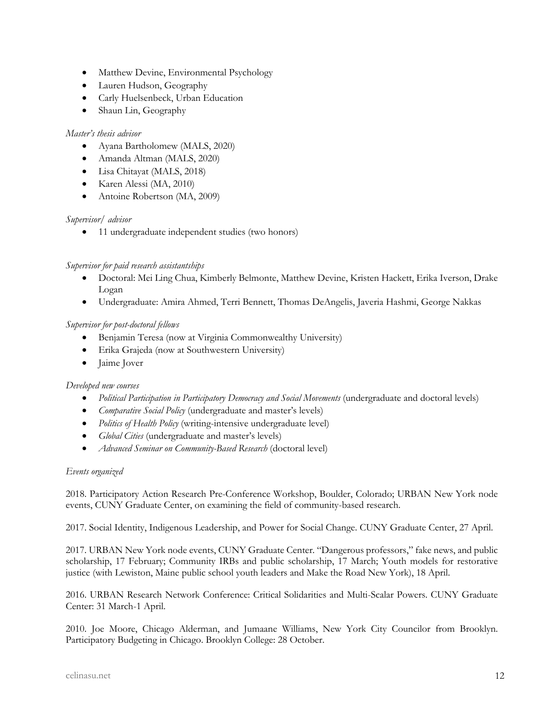- Matthew Devine, Environmental Psychology
- Lauren Hudson, Geography
- Carly Huelsenbeck, Urban Education
- Shaun Lin, Geography

#### *Master's thesis advisor*

- Ayana Bartholomew (MALS, 2020)
- Amanda Altman (MALS, 2020)
- Lisa Chitayat (MALS, 2018)
- Karen Alessi (MA, 2010)
- Antoine Robertson (MA, 2009)

## *Supervisor/ advisor*

• 11 undergraduate independent studies (two honors)

## *Supervisor for paid research assistantships*

- Doctoral: Mei Ling Chua, Kimberly Belmonte, Matthew Devine, Kristen Hackett, Erika Iverson, Drake Logan
- Undergraduate: Amira Ahmed, Terri Bennett, Thomas DeAngelis, Javeria Hashmi, George Nakkas

## *Supervisor for post-doctoral fellows*

- Benjamin Teresa (now at Virginia Commonwealthy University)
- Erika Grajeda (now at Southwestern University)
- Jaime Jover

## *Developed new courses*

- *Political Participation in Participatory Democracy and Social Movements* (undergraduate and doctoral levels)
- *Comparative Social Policy* (undergraduate and master's levels)
- *Politics of Health Policy* (writing-intensive undergraduate level)
- *Global Cities* (undergraduate and master's levels)
- *Advanced Seminar on Community-Based Research* (doctoral level)

## *Events organized*

2018. Participatory Action Research Pre-Conference Workshop, Boulder, Colorado; URBAN New York node events, CUNY Graduate Center, on examining the field of community-based research.

2017. Social Identity, Indigenous Leadership, and Power for Social Change. CUNY Graduate Center, 27 April.

2017. URBAN New York node events, CUNY Graduate Center. "Dangerous professors," fake news, and public scholarship, 17 February; Community IRBs and public scholarship, 17 March; Youth models for restorative justice (with Lewiston, Maine public school youth leaders and Make the Road New York), 18 April.

2016. URBAN Research Network Conference: Critical Solidarities and Multi-Scalar Powers. CUNY Graduate Center: 31 March-1 April.

2010. Joe Moore, Chicago Alderman, and Jumaane Williams, New York City Councilor from Brooklyn. Participatory Budgeting in Chicago. Brooklyn College: 28 October.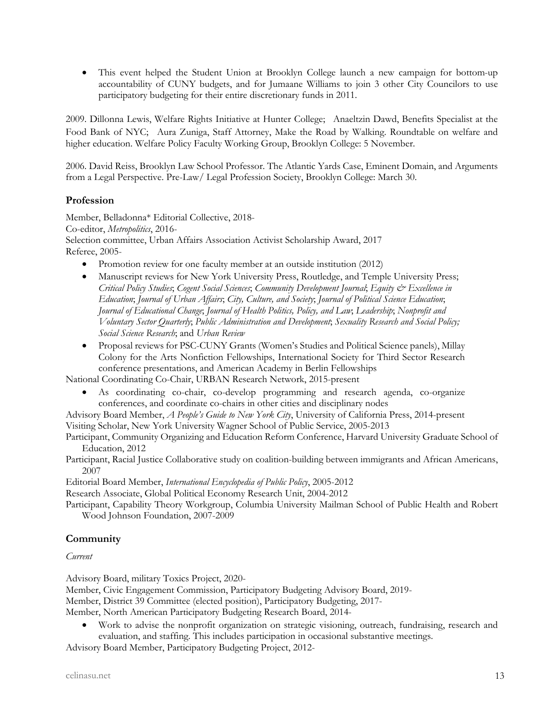• This event helped the Student Union at Brooklyn College launch a new campaign for bottom-up accountability of CUNY budgets, and for Jumaane Williams to join 3 other City Councilors to use participatory budgeting for their entire discretionary funds in 2011.

2009. Dillonna Lewis, Welfare Rights Initiative at Hunter College; Anaeltzin Dawd, Benefits Specialist at the Food Bank of NYC; Aura Zuniga, Staff Attorney, Make the Road by Walking. Roundtable on welfare and higher education. Welfare Policy Faculty Working Group, Brooklyn College: 5 November.

2006. David Reiss, Brooklyn Law School Professor. The Atlantic Yards Case, Eminent Domain, and Arguments from a Legal Perspective. Pre-Law/ Legal Profession Society, Brooklyn College: March 30.

# **Profession**

Member, Belladonna\* Editorial Collective, 2018- Co-editor, *Metropolitics*, 2016- Selection committee, Urban Affairs Association Activist Scholarship Award, 2017 Referee, 2005-

- Promotion review for one faculty member at an outside institution (2012)
- Manuscript reviews for New York University Press, Routledge, and Temple University Press; *Critical Policy Studies*; *Cogent Social Sciences*; *Community Development Journal*; *Equity & Excellence in Education*; *Journal of Urban Affairs*; *City, Culture, and Society*; *Journal of Political Science Education*; *Journal of Educational Change*; *Journal of Health Politics, Policy, and Law*; *Leadership*; *Nonprofit and Voluntary Sector Quarterly*; *Public Administration and Development*; *Sexuality Research and Social Policy; Social Science Research*; and *Urban Review*
- Proposal reviews for PSC-CUNY Grants (Women's Studies and Political Science panels), Millay Colony for the Arts Nonfiction Fellowships, International Society for Third Sector Research conference presentations, and American Academy in Berlin Fellowships

National Coordinating Co-Chair, URBAN Research Network, 2015-present

- As coordinating co-chair, co-develop programming and research agenda, co-organize conferences, and coordinate co-chairs in other cities and disciplinary nodes
- Advisory Board Member, *A People's Guide to New York City*, University of California Press, 2014-present Visiting Scholar, New York University Wagner School of Public Service, 2005-2013
- Participant, Community Organizing and Education Reform Conference, Harvard University Graduate School of Education, 2012

Participant, Racial Justice Collaborative study on coalition-building between immigrants and African Americans, 2007

Editorial Board Member, *International Encyclopedia of Public Policy*, 2005-2012

Research Associate, Global Political Economy Research Unit, 2004-2012

Participant, Capability Theory Workgroup, Columbia University Mailman School of Public Health and Robert Wood Johnson Foundation, 2007-2009

# **Community**

*Current*

Advisory Board, military Toxics Project, 2020-

Member, Civic Engagement Commission, Participatory Budgeting Advisory Board, 2019-

Member, District 39 Committee (elected position), Participatory Budgeting, 2017-

Member, North American Participatory Budgeting Research Board, 2014-

• Work to advise the nonprofit organization on strategic visioning, outreach, fundraising, research and evaluation, and staffing. This includes participation in occasional substantive meetings.

Advisory Board Member, Participatory Budgeting Project, 2012-